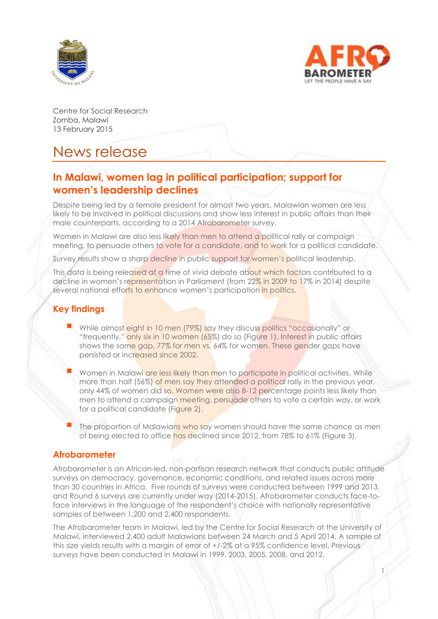



1

Centre for Social Research Zomba, Malawi 13 February 2015

# News release

# **In Malawi, women lag in political participation; support for women's leadership declines**

Despite being led by a female president for almost two years, Malawian women are less likely to be involved in political discussions and show less interest in public affairs than their male counterparts, according to a 2014 Afrobarometer survey.

Women in Malawi are also less likely than men to attend a political rally or campaign meeting, to persuade others to vote for a candidate, and to work for a political candidate.

Survey results show a sharp decline in public support for women's political leadership.

This data is being released at a time of vivid debate about which factors contributed to a decline in women's representation in Parliament (from 22% in 2009 to 17% in 2014) despite several national efforts to enhance women's participation in politics.

# **Key findings**

- While almost eight in 10 men (79%) say they discuss politics "occasionally" or "frequently," only six in 10 women (65%) do so (Figure 1). Interest in public affairs shows the same gap, 77% for men vs. 64% for women. These gender gaps have persisted or increased since 2002.
- Women in Malawi are less likely than men to participate in political activities. While more than half (56%) of men say they attended a political rally in the previous year, only 44% of women did so. Women were also 8-12 percentage points less likely than men to attend a campaign meeting, persuade others to vote a certain way, or work for a political candidate (Figure 2).
- The proportion of Malawians who say women should have the same chance as men of being elected to office has declined since 2012, from 78% to 61% (Figure 3).

#### **Afrobarometer**

Afrobarometer is an African-led, non-partisan research network that conducts public attitude surveys on democracy, governance, economic conditions, and related issues across more than 30 countries in Africa. Five rounds of surveys were conducted between 1999 and 2013, and Round 6 surveys are currently under way (2014-2015). Afrobarometer conducts face-toface interviews in the language of the respondent's choice with nationally representative samples of between 1,200 and 2,400 respondents.

The Afrobarometer team in Malawi, led by the Centre for Social Research at the University of Malawi, interviewed 2,400 adult Malawians between 24 March and 5 April 2014. A sample of this size yields results with a margin of error of +/-2% at a 95% confidence level. Previous surveys have been conducted in Malawi in 1999, 2003, 2005, 2008, and 2012.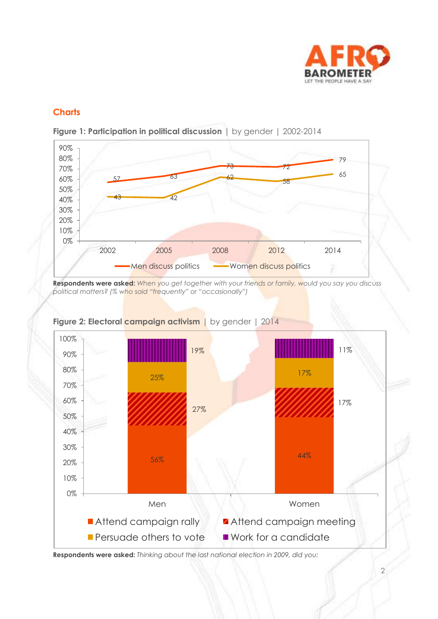

## **Charts**



**Figure 1: Participation in political discussion** | by gender | 2002-2014

**Respondents were asked:** *When you get together with your friends or family, would you say you discuss political matters? (% who said "frequently" or "occasionally")*



**Figure 2: Electoral campaign activism** | by gender | 2014

**Respondents were asked:** *Thinking about the last national election in 2009, did you:*